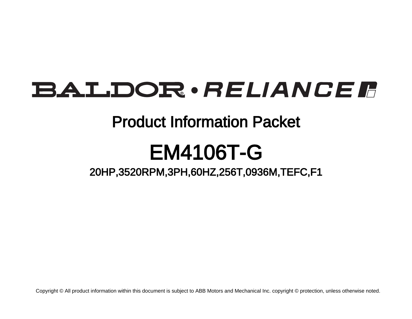# BALDOR · RELIANCE F

### Product Information Packet

# EM4106T-G

20HP,3520RPM,3PH,60HZ,256T,0936M,TEFC,F1

Copyright © All product information within this document is subject to ABB Motors and Mechanical Inc. copyright © protection, unless otherwise noted.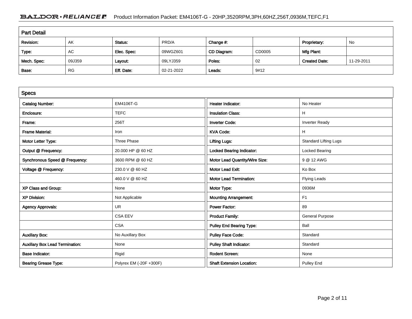### BALDOR · RELIANCE F Product Information Packet: EM4106T-G - 20HP,3520RPM,3PH,60HZ,256T,0936M,TEFC,F1

| <b>Part Detail</b> |           |             |            |             |        |                      |            |  |
|--------------------|-----------|-------------|------------|-------------|--------|----------------------|------------|--|
| Revision:          | AK        | Status:     | PRD/A      | Change #:   |        | Proprietary:         | No         |  |
| Type:              | AC        | Elec. Spec: | 09WGZ601   | CD Diagram: | CD0005 | Mfg Plant:           |            |  |
| Mech. Spec:        | 09J359    | Layout:     | 09LYJ359   | Poles:      | 02     | <b>Created Date:</b> | 11-29-2011 |  |
| Base:              | <b>RG</b> | Eff. Date:  | 02-21-2022 | Leads:      | 9#12   |                      |            |  |

| <b>Specs</b>                           |                         |                                  |                              |
|----------------------------------------|-------------------------|----------------------------------|------------------------------|
| <b>Catalog Number:</b>                 | EM4106T-G               | Heater Indicator:                | No Heater                    |
| Enclosure:                             | <b>TEFC</b>             | <b>Insulation Class:</b>         | н                            |
| Frame:                                 | 256T                    | <b>Inverter Code:</b>            | <b>Inverter Ready</b>        |
| <b>Frame Material:</b>                 | Iron                    | <b>KVA Code:</b>                 | H                            |
| Motor Letter Type:                     | Three Phase             | <b>Lifting Lugs:</b>             | <b>Standard Lifting Lugs</b> |
| Output @ Frequency:                    | 20.000 HP @ 60 HZ       | <b>Locked Bearing Indicator:</b> | Locked Bearing               |
| Synchronous Speed @ Frequency:         | 3600 RPM @ 60 HZ        | Motor Lead Quantity/Wire Size:   | 9 @ 12 AWG                   |
| Voltage @ Frequency:                   | 230.0 V @ 60 HZ         | <b>Motor Lead Exit:</b>          | Ko Box                       |
|                                        | 460.0 V @ 60 HZ         | <b>Motor Lead Termination:</b>   | <b>Flying Leads</b>          |
| XP Class and Group:                    | None                    | Motor Type:                      | 0936M                        |
| <b>XP Division:</b>                    | Not Applicable          | <b>Mounting Arrangement:</b>     | F <sub>1</sub>               |
| <b>Agency Approvals:</b>               | <b>UR</b>               | <b>Power Factor:</b>             | 89                           |
|                                        | <b>CSA EEV</b>          | <b>Product Family:</b>           | <b>General Purpose</b>       |
|                                        | <b>CSA</b>              | <b>Pulley End Bearing Type:</b>  | Ball                         |
| <b>Auxillary Box:</b>                  | No Auxillary Box        | <b>Pulley Face Code:</b>         | Standard                     |
| <b>Auxillary Box Lead Termination:</b> | None                    | <b>Pulley Shaft Indicator:</b>   | Standard                     |
| <b>Base Indicator:</b>                 | Rigid                   | Rodent Screen:                   | None                         |
| <b>Bearing Grease Type:</b>            | Polyrex EM (-20F +300F) | <b>Shaft Extension Location:</b> | <b>Pulley End</b>            |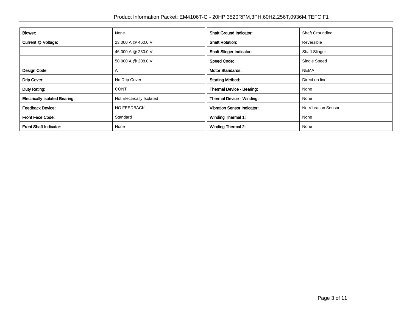| Blower:                               | None                      | <b>Shaft Ground Indicator:</b>     | <b>Shaft Grounding</b> |  |
|---------------------------------------|---------------------------|------------------------------------|------------------------|--|
| Current @ Voltage:                    | 23.000 A @ 460.0 V        | <b>Shaft Rotation:</b>             | Reversible             |  |
|                                       | 46.000 A @ 230.0 V        | <b>Shaft Slinger Indicator:</b>    | <b>Shaft Slinger</b>   |  |
|                                       | 50.000 A @ 208.0 V        | <b>Speed Code:</b>                 | Single Speed           |  |
| Design Code:                          | A                         | <b>Motor Standards:</b>            | <b>NEMA</b>            |  |
| Drip Cover:                           | No Drip Cover             | <b>Starting Method:</b>            | Direct on line         |  |
| Duty Rating:                          | <b>CONT</b>               | Thermal Device - Bearing:          | None                   |  |
| <b>Electrically Isolated Bearing:</b> | Not Electrically Isolated | Thermal Device - Winding:          | None                   |  |
| <b>Feedback Device:</b>               | NO FEEDBACK               | <b>Vibration Sensor Indicator:</b> | No Vibration Sensor    |  |
| <b>Front Face Code:</b>               | Standard                  | <b>Winding Thermal 1:</b>          | None                   |  |
| <b>Front Shaft Indicator:</b>         | None                      | <b>Winding Thermal 2:</b>          | None                   |  |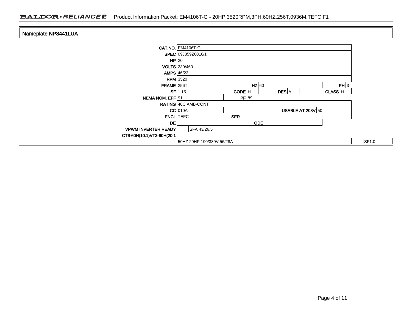#### BALDOR · RELIANCE F Product Information Packet: EM4106T-G - 20HP,3520RPM,3PH,60HZ,256T,0936M,TEFC,F1

| Nameplate NP3441LUA        |                                                     |       |
|----------------------------|-----------------------------------------------------|-------|
|                            |                                                     |       |
|                            | <b>CAT.NO. EM4106T-G</b>                            |       |
|                            | SPEC 09J359Z601G1                                   |       |
|                            | HP 20                                               |       |
|                            | VOLTS 230/460                                       |       |
|                            | AMPS $46/23$                                        |       |
|                            | $RPM$ 3520                                          |       |
| <b>FRAME</b> 256T          | $HZ$ 60<br>PH 3                                     |       |
|                            | DES A<br>$SF$ 1.15<br>CODE <sup>IH</sup><br>CLASS H |       |
| NEMA NOM. EFF 91           | PF 89                                               |       |
|                            | RATING 40C AMB-CONT                                 |       |
|                            | USABLE AT 208V $50$<br>$CC$ 010A                    |       |
|                            | <b>ENCL</b> TEFC<br>SER                             |       |
| DE                         | <b>ODE</b>                                          |       |
| <b>VPWM INVERTER READY</b> | SFA 43/26.5                                         |       |
| CT6-60H(10:1)VT3-60H(20:1  |                                                     |       |
|                            | 50HZ 20HP 190/380V 56/28A                           | SF1.0 |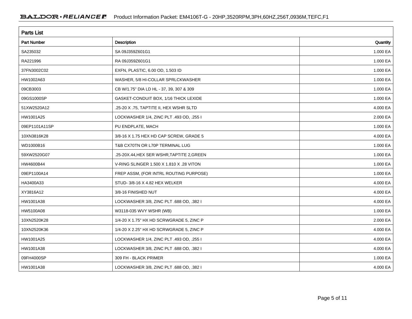| <b>Parts List</b>  |                                            |          |  |  |  |
|--------------------|--------------------------------------------|----------|--|--|--|
| <b>Part Number</b> | <b>Description</b>                         | Quantity |  |  |  |
| SA235032           | SA 09J359Z601G1                            | 1.000 EA |  |  |  |
| RA221996           | RA 09J359Z601G1                            | 1.000 EA |  |  |  |
| 37FN3002C02        | EXFN, PLASTIC, 6.00 OD, 1.503 ID           | 1.000 EA |  |  |  |
| HW1002A63          | WASHER, 5/8 HI-COLLAR SPRLCKWASHER         | 1.000 EA |  |  |  |
| 09CB3003           | CB W/1.75" DIA LD HL - 37, 39, 307 & 309   | 1.000 EA |  |  |  |
| 09GS1000SP         | GASKET-CONDUIT BOX, 1/16 THICK LEXIDE      | 1.000 EA |  |  |  |
| 51XW2520A12        | .25-20 X .75, TAPTITE II, HEX WSHR SLTD    | 4.000 EA |  |  |  |
| HW1001A25          | LOCKWASHER 1/4, ZINC PLT .493 OD, .255 I   | 2.000 EA |  |  |  |
| 09EP1101A11SP      | PU ENDPLATE, MACH                          | 1.000 EA |  |  |  |
| 10XN3816K28        | 3/8-16 X 1.75 HEX HD CAP SCREW, GRADE 5    | 4.000 EA |  |  |  |
| WD1000B16          | T&B CX70TN OR L70P TERMINAL LUG            | 1.000 EA |  |  |  |
| 59XW2520G07        | .25-20X.44, HEX SER WSHR, TAPTITE 2, GREEN | 1.000 EA |  |  |  |
| HW4600B44          | V-RING SLINGER 1.500 X 1.810 X .28 VITON   | 1.000 EA |  |  |  |
| 09EP1100A14        | FREP ASSM, (FOR INTRL ROUTING PURPOSE)     | 1.000 EA |  |  |  |
| HA3400A33          | STUD-3/8-16 X 4.82 HEX WELKER              | 4.000 EA |  |  |  |
| XY3816A12          | 3/8-16 FINISHED NUT                        | 4.000 EA |  |  |  |
| HW1001A38          | LOCKWASHER 3/8, ZINC PLT .688 OD, .382 I   | 4.000 EA |  |  |  |
| HW5100A08          | W3118-035 WVY WSHR (WB)                    | 1.000 EA |  |  |  |
| 10XN2520K28        | 1/4-20 X 1.75" HX HD SCRWGRADE 5, ZINC P   | 2.000 EA |  |  |  |
| 10XN2520K36        | 1/4-20 X 2.25" HX HD SCRWGRADE 5, ZINC P   | 4.000 EA |  |  |  |
| HW1001A25          | LOCKWASHER 1/4, ZINC PLT .493 OD, .255 I   | 4.000 EA |  |  |  |
| HW1001A38          | LOCKWASHER 3/8, ZINC PLT .688 OD, .382 I   | 4.000 EA |  |  |  |
| 09FH4000SP         | 309 FH - BLACK PRIMER                      | 1.000 EA |  |  |  |
| HW1001A38          | LOCKWASHER 3/8, ZINC PLT .688 OD, .382 I   | 4.000 EA |  |  |  |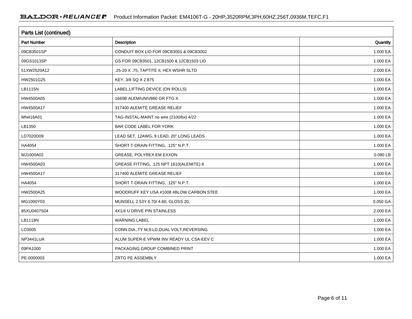| Parts List (continued) |                                             |                      |  |  |  |
|------------------------|---------------------------------------------|----------------------|--|--|--|
| <b>Part Number</b>     | <b>Description</b>                          | Quantity             |  |  |  |
| 09CB3501SP             | CONDUIT BOX LID FOR 09CB3001 & 09CB3002     | 1.000 EA             |  |  |  |
| 09GS1013SP             | GS FOR 09CB3501, 12CB1500 & 12CB1503 LID    | 1.000 EA             |  |  |  |
| 51XW2520A12            | .25-20 X .75, TAPTITE II, HEX WSHR SLTD     | 2.000 EA             |  |  |  |
| HW2501G25              | KEY, 3/8 SQ X 2.875                         | 1.000 EA             |  |  |  |
| <b>LB1115N</b>         | LABEL, LIFTING DEVICE (ON ROLLS)            | 1.000 EA             |  |  |  |
| HW4500A05              | 1669B ALEM/UNIV860 GR FTG X                 | 1.000 EA             |  |  |  |
| HW4500A17              | 317400 ALEMITE GREASE RELIEF                | 1.000 EA             |  |  |  |
| MN416A01               | TAG-INSTAL-MAINT no wire (2100/bx) 4/22     | 1.000 EA             |  |  |  |
| LB1350                 | BAR CODE LABEL FOR YORK                     | 1.000 EA             |  |  |  |
| LD7020D09              | LEAD SET, 12AWG, 9 LEAD, 20" LONG LEADS     | 1.000 EA             |  |  |  |
| HA4054                 | SHORT T-DRAIN FITTING, .125" N.P.T.         | 1.000 EA             |  |  |  |
| MJ1000A02              | GREASE, POLYREX EM EXXON                    | 0.080 LB             |  |  |  |
| HW4500A03              | GREASE FITTING, .125 NPT 1610(ALEMITE) 8    | 1.000 EA             |  |  |  |
| HW4500A17              | 317400 ALEMITE GREASE RELIEF                | 1.000 EA             |  |  |  |
| HA4054                 | SHORT T-DRAIN FITTING, .125" N.P.T.         | 1.000 EA             |  |  |  |
| HW2500A25              | WOODRUFF KEY USA #1008 #BLOW CARBON STEE    | 1.000 EA             |  |  |  |
| MG1000Y03              | MUNSELL 2.53Y 6.70/ 4.60, GLOSS 20,         | $0.050\ \mathrm{GA}$ |  |  |  |
| 85XU0407S04            | 4X1/4 U DRIVE PIN STAINLESS                 | 2.000 EA             |  |  |  |
| LB1119N                | <b>WARNING LABEL</b>                        | 1.000 EA             |  |  |  |
| LC0005                 | CONN.DIA., TY M, 9-LD, DUAL VOLT, REVERSING | 1.000 EA             |  |  |  |
| NP3441LUA              | ALUM SUPER-E VPWM INV READY UL CSA-EEV C    | 1.000 EA             |  |  |  |
| 09PA1000               | PACKAGING GROUP COMBINED PRINT              | 1.000 EA             |  |  |  |
| PE-0000003             | ZRTG PE ASSEMBLY                            | 1.000 EA             |  |  |  |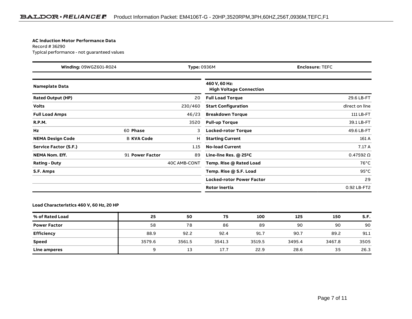#### **AC Induction Motor Performance Data**

Record # 36290Typical performance - not guaranteed values

| Winding: 09WGZ601-R024       |                   | <b>Type: 0936M</b><br><b>Enclosure: TEFC</b> |                                                 |                    |
|------------------------------|-------------------|----------------------------------------------|-------------------------------------------------|--------------------|
| <b>Nameplate Data</b>        |                   |                                              | 460 V, 60 Hz:<br><b>High Voltage Connection</b> |                    |
| <b>Rated Output (HP)</b>     |                   | 20                                           | <b>Full Load Torque</b>                         | 29.6 LB-FT         |
| <b>Volts</b>                 |                   | 230/460                                      | <b>Start Configuration</b>                      | direct on line     |
| <b>Full Load Amps</b>        |                   | 46/23                                        | <b>Breakdown Torque</b>                         | 111 LB-FT          |
| <b>R.P.M.</b>                |                   | 3520                                         | <b>Pull-up Torque</b>                           | 39.1 LB-FT         |
| Hz                           | 60 Phase          | 3                                            | <b>Locked-rotor Torque</b>                      | 49.6 LB-FT         |
| <b>NEMA Design Code</b>      | <b>B KVA Code</b> | H                                            | <b>Starting Current</b>                         | 161 A              |
| <b>Service Factor (S.F.)</b> |                   | 1.15                                         | <b>No-load Current</b>                          | 7.17 A             |
| <b>NEMA Nom. Eff.</b>        | 91 Power Factor   | 89                                           | Line-line Res. @ 25°C                           | $0.47592$ $\Omega$ |
| <b>Rating - Duty</b>         |                   | 40C AMB-CONT                                 | Temp. Rise @ Rated Load                         | $76^{\circ}$ C     |
| S.F. Amps                    |                   |                                              | Temp. Rise @ S.F. Load                          | $95^{\circ}$ C     |
|                              |                   |                                              | <b>Locked-rotor Power Factor</b>                | 29                 |
|                              |                   |                                              | <b>Rotor inertia</b>                            | 0.92 LB-FT2        |

**Load Characteristics 460 V, 60 Hz, 20 HP**

| % of Rated Load     | 25     | 50     | 75     | 100    | 125    | 150    | S.F. |
|---------------------|--------|--------|--------|--------|--------|--------|------|
| <b>Power Factor</b> | 58     | 78     | 86     | 89     | 90     | 90     | 90   |
| <b>Efficiency</b>   | 88.9   | 92.2   | 92.4   | 91.7   | 90.7   | 89.2   | 91.1 |
| <b>Speed</b>        | 3579.6 | 3561.5 | 3541.3 | 3519.5 | 3495.4 | 3467.8 | 3505 |
| Line amperes        | a      | 13     | 17.7   | 22.9   | 28.6   | 35     | 26.3 |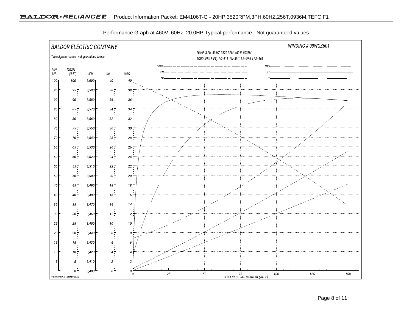

Performance Graph at 460V, 60Hz, 20.0HP Typical performance - Not guaranteed values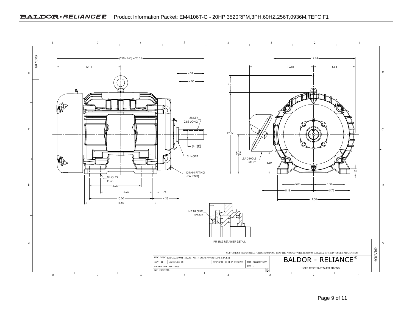

Page 9 of 11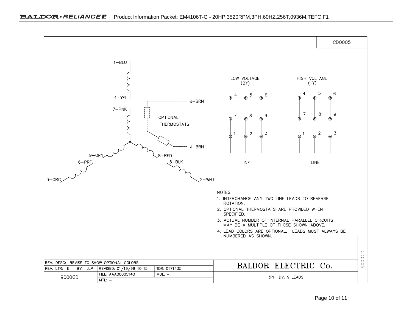